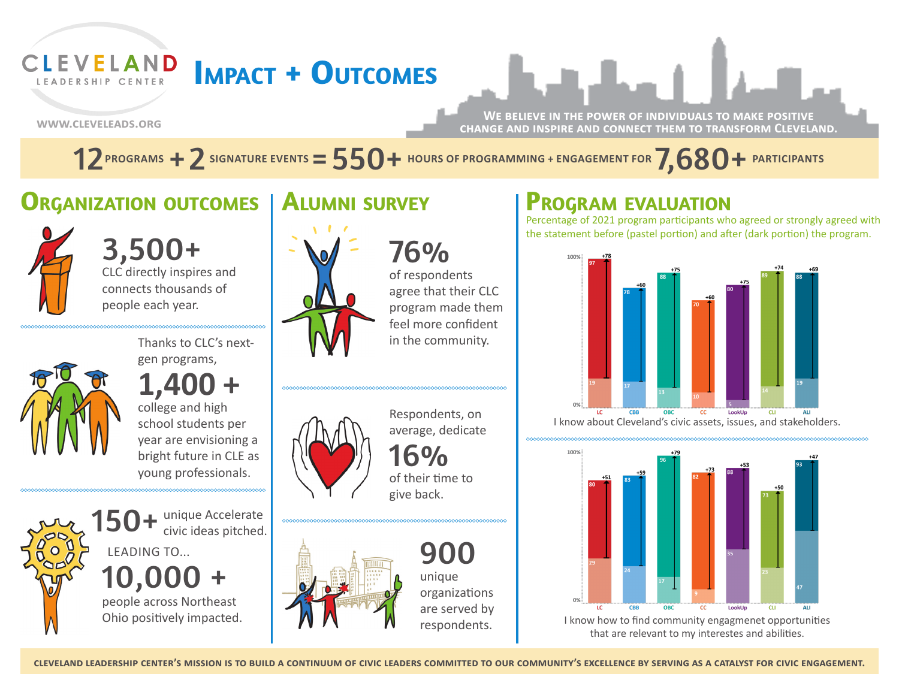# **CLEVELAND Impact + Outcomes**

**www.cleveleads.org**

LEADERSHIP CENTER

**We believe in the power of individuals to make positive change and inspire and connect them to transform Cleveland.**

 $12$  programs  $+$   $2$  signature events  $=$   $550+$  hours of programming + engagement for  $7,680+$  participants

#### **Alumni survey Organization outcomes**



3,500+ CLC directly inspires and connects thousands of people each year.



Thanks to CLC's nextgen programs,

**1,400 +** college and high school students per year are envisioning a bright future in CLE as young professionals.

unique Accelerate civic ideas pitched. 10,00 people across Northeast Ohio positively impacted. LEADING TO...





of respondents agree that their CLC program made them feel more confident in the community.



Respondents, on average, dedicate  $6%$ of their time to give back.



900 unique organizations are served by respondents.

# **Program evaluation**

Percentage of 2021 program participants who agreed or strongly agreed with the statement before (pastel portion) and after (dark portion) the program.



I know about Cleveland's civic assets, issues, and stakeholders.